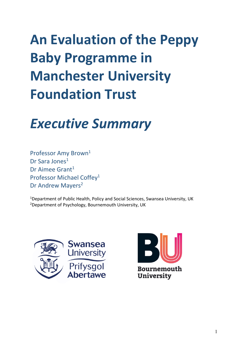# **An Evaluation of the Peppy Baby Programme in Manchester University Foundation Trust**

## *Executive Summary*

Professor Amy Brown<sup>1</sup> Dr Sara Jones<sup>1</sup> Dr Aimee Grant<sup>1</sup> Professor Michael Coffey1 Dr Andrew Mayers<sup>2</sup>

<sup>1</sup>Department of Public Health, Policy and Social Sciences, Swansea University, UK <sup>2</sup>Department of Psychology, Bournemouth University, UK



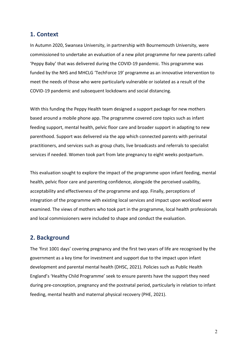### **1. Context**

In Autumn 2020, Swansea University, in partnership with Bournemouth University, were commissioned to undertake an evaluation of a new pilot programme for new parents called 'Peppy Baby' that was delivered during the COVID-19 pandemic. This programme was funded by the NHS and MHCLG 'TechForce 19' programme as an innovative intervention to meet the needs of those who were particularly vulnerable or isolated as a result of the COVID-19 pandemic and subsequent lockdowns and social distancing.

With this funding the Peppy Health team designed a support package for new mothers based around a mobile phone app. The programme covered core topics such as infant feeding support, mental health, pelvic floor care and broader support in adapting to new parenthood. Support was delivered via the app which connected parents with perinatal practitioners, and services such as group chats, live broadcasts and referrals to specialist services if needed. Women took part from late pregnancy to eight weeks postpartum.

This evaluation sought to explore the impact of the programme upon infant feeding, mental health, pelvic floor care and parenting confidence, alongside the perceived usability, acceptability and effectiveness of the programme and app. Finally, perceptions of integration of the programme with existing local services and impact upon workload were examined. The views of mothers who took part in the programme, local health professionals and local commissioners were included to shape and conduct the evaluation.

## **2. Background**

The 'first 1001 days' covering pregnancy and the first two years of life are recognised by the government as a key time for investment and support due to the impact upon infant development and parental mental health (DHSC, 2021). Policies such as Public Health England's 'Healthy Child Programme' seek to ensure parents have the support they need during pre-conception, pregnancy and the postnatal period, particularly in relation to infant feeding, mental health and maternal physical recovery (PHE, 2021).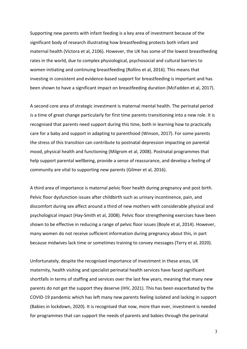Supporting new parents with infant feeding is a key area of investment because of the significant body of research illustrating how breastfeeding protects both infant and maternal health (Victora et al, 2106). However, the UK has some of the lowest breastfeeding rates in the world, due to complex physiological, psychosocial and cultural barriers to women initiating and continuing breastfeeding (Rollins et al, 2016). This means that investing in consistent and evidence-based support for breastfeeding is important and has been shown to have a significant impact on breastfeeding duration (McFadden et al, 2017).

A second core area of strategic investment is maternal mental health. The perinatal period is a time of great change particularly for first time parents transitioning into a new role. It is recognised that parents need support during this time, both in learning how to practically care for a baby and support in adapting to parenthood (Winson, 2017). For some parents the stress of this transition can contribute to postnatal depression impacting on parental mood, physical health and functioning (Milgrom et al, 2008). Postnatal programmes that help support parental wellbeing, provide a sense of reassurance, and develop a feeling of community are vital to supporting new parents (Gilmer et al, 2016).

A third area of importance is maternal pelvic floor health during pregnancy and post birth. Pelvic floor dysfunction issues after childbirth such as urinary incontinence, pain, and discomfort during sex affect around a third of new mothers with considerable physical and psychological impact (Hay-Smith et al, 2008). Pelvic floor strengthening exercises have been shown to be effective in reducing a range of pelvic floor issues (Boyle et al, 2014). However, many women do not receive sufficient information during pregnancy about this, in part because midwives lack time or sometimes training to convey messages (Terry et al, 2020).

Unfortunately, despite the recognised importance of investment in these areas, UK maternity, health visiting and specialist perinatal health services have faced significant shortfalls in terms of staffing and services over the last few years, meaning that many new parents do not get the support they deserve (IHV, 2021). This has been exacerbated by the COVID-19 pandemic which has left many new parents feeling isolated and lacking in support (Babies in lockdown, 2020). It is recognised that now, more than ever, investment is needed for programmes that can support the needs of parents and babies through the perinatal

3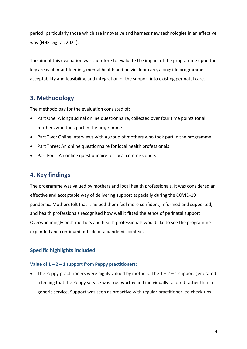period, particularly those which are innovative and harness new technologies in an effective way (NHS Digital, 2021).

The aim of this evaluation was therefore to evaluate the impact of the programme upon the key areas of infant feeding, mental health and pelvic floor care, alongside programme acceptability and feasibility, and integration of the support into existing perinatal care.

## **3. Methodology**

The methodology for the evaluation consisted of:

- Part One: A longitudinal online questionnaire, collected over four time points for all mothers who took part in the programme
- Part Two: Online interviews with a group of mothers who took part in the programme
- Part Three: An online questionnaire for local health professionals
- Part Four: An online questionnaire for local commissioners

## **4. Key findings**

The programme was valued by mothers and local health professionals. It was considered an effective and acceptable way of delivering support especially during the COVID-19 pandemic. Mothers felt that it helped them feel more confident, informed and supported, and health professionals recognised how well it fitted the ethos of perinatal support. Overwhelmingly both mothers and health professionals would like to see the programme expanded and continued outside of a pandemic context.

### **Specific highlights included:**

#### **Value of 1 – 2 – 1 support from Peppy practitioners:**

• The Peppy practitioners were highly valued by mothers. The  $1 - 2 - 1$  support generated a feeling that the Peppy service was trustworthy and individually tailored rather than a generic service. Support was seen as proactive with regular practitioner led check-ups.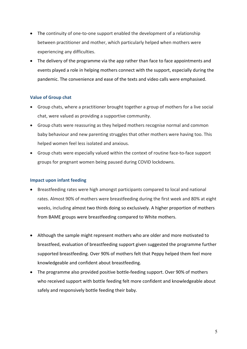- The continuity of one-to-one support enabled the development of a relationship between practitioner and mother, which particularly helped when mothers were experiencing any difficulties.
- The delivery of the programme via the app rather than face to face appointments and events played a role in helping mothers connect with the support, especially during the pandemic. The convenience and ease of the texts and video calls were emphasised.

#### **Value of Group chat**

- Group chats, where a practitioner brought together a group of mothers for a live social chat, were valued as providing a supportive community.
- Group chats were reassuring as they helped mothers recognise normal and common baby behaviour and new parenting struggles that other mothers were having too. This helped women feel less isolated and anxious.
- Group chats were especially valued within the context of routine face-to-face support groups for pregnant women being paused during COVID lockdowns.

#### **Impact upon infant feeding**

- Breastfeeding rates were high amongst participants compared to local and national rates. Almost 90% of mothers were breastfeeding during the first week and 80% at eight weeks, including almost two thirds doing so exclusively. A higher proportion of mothers from BAME groups were breastfeeding compared to White mothers.
- Although the sample might represent mothers who are older and more motivated to breastfeed, evaluation of breastfeeding support given suggested the programme further supported breastfeeding. Over 90% of mothers felt that Peppy helped them feel more knowledgeable and confident about breastfeeding.
- The programme also provided positive bottle-feeding support. Over 90% of mothers who received support with bottle feeding felt more confident and knowledgeable about safely and responsively bottle feeding their baby.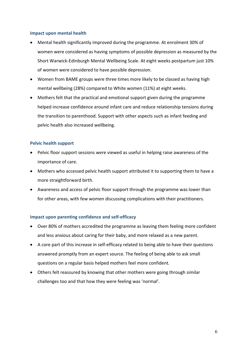#### **Impact upon mental health**

- Mental health significantly improved during the programme. At enrolment 30% of women were considered as having symptoms of possible depression as measured by the Short Warwick-Edinburgh Mental Wellbeing Scale. At eight weeks postpartum just 10% of women were considered to have possible depression.
- Women from BAME groups were three times more likely to be classed as having high mental wellbeing (28%) compared to White women (11%) at eight weeks.
- Mothers felt that the practical and emotional support given during the programme helped increase confidence around infant care and reduce relationship tensions during the transition to parenthood. Support with other aspects such as infant feeding and pelvic health also increased wellbeing.

#### **Pelvic health support**

- Pelvic floor support sessions were viewed as useful in helping raise awareness of the importance of care.
- Mothers who accessed pelvic health support attributed it to supporting them to have a more straightforward birth.
- Awareness and access of pelvic floor support through the programme was lower than for other areas, with few women discussing complications with their practitioners.

#### **Impact upon parenting confidence and self-efficacy**

- Over 80% of mothers accredited the programme as leaving them feeling more confident and less anxious about caring for their baby, and more relaxed as a new parent.
- A core part of this increase in self-efficacy related to being able to have their questions answered promptly from an expert source. The feeling of being able to ask small questions on a regular basis helped mothers feel more confident.
- Others felt reassured by knowing that other mothers were going through similar challenges too and that how they were feeling was 'normal'.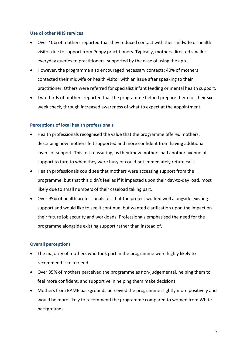#### **Use of other NHS services**

- Over 40% of mothers reported that they reduced contact with their midwife or health visitor due to support from Peppy practitioners. Typically, mothers directed smaller everyday queries to practitioners, supported by the ease of using the app.
- However, the programme also encouraged necessary contacts; 40% of mothers contacted their midwife or health visitor with an issue after speaking to their practitioner. Others were referred for specialist infant feeding or mental health support.
- Two thirds of mothers reported that the programme helped prepare them for their sixweek check, through increased awareness of what to expect at the appointment.

#### **Perceptions of local health professionals**

- Health professionals recognised the value that the programme offered mothers, describing how mothers felt supported and more confident from having additional layers of support. This felt reassuring, as they knew mothers had another avenue of support to turn to when they were busy or could not immediately return calls.
- Health professionals could see that mothers were accessing support from the programme, but that this didn't feel as if it impacted upon their day-to-day load, most likely due to small numbers of their caseload taking part.
- Over 95% of health professionals felt that the project worked well alongside existing support and would like to see it continue, but wanted clarification upon the impact on their future job security and workloads. Professionals emphasised the need for the programme alongside existing support rather than instead of.

#### **Overall perceptions**

- The majority of mothers who took part in the programme were highly likely to recommend it to a friend
- Over 85% of mothers perceived the programme as non-judgemental, helping them to feel more confident, and supportive in helping them make decisions.
- Mothers from BAME backgrounds perceived the programme slightly more positively and would be more likely to recommend the programme compared to women from White backgrounds.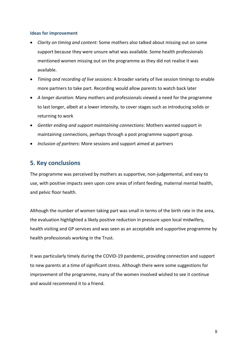#### **Ideas for improvement**

- *Clarity on timing and content:* Some mothers also talked about missing out on some support because they were unsure what was available. Some health professionals mentioned women missing out on the programme as they did not realise it was available.
- *Timing and recording of live sessions:* A broader variety of live session timings to enable more partners to take part. Recording would allow parents to watch back later
- *A longer duration:* Many mothers and professionals viewed a need for the programme to last longer, albeit at a lower intensity, to cover stages such as introducing solids or returning to work
- *Gentler ending and support maintaining connections*: Mothers wanted support in maintaining connections, perhaps through a post programme support group.
- *Inclusion of partners:* More sessions and support aimed at partners

## **5. Key conclusions**

The programme was perceived by mothers as supportive, non-judgemental, and easy to use, with positive impacts seen upon core areas of infant feeding, maternal mental health, and pelvic floor health.

Although the number of women taking part was small in terms of the birth rate in the area, the evaluation highlighted a likely positive reduction in pressure upon local midwifery, health visiting and GP services and was seen as an acceptable and supportive programme by health professionals working in the Trust.

It was particularly timely during the COVID-19 pandemic, providing connection and support to new parents at a time of significant stress. Although there were some suggestions for improvement of the programme, many of the women involved wished to see it continue and would recommend it to a friend.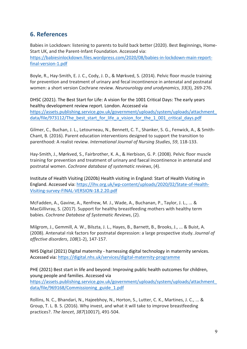## **6. References**

Babies in Lockdown: listening to parents to build back better (2020). Best Beginnings, Home-Start UK, and the Parent-Infant Foundation. Accessed via: https://babiesinlockdown.files.wordpress.com/2020/08/babies-in-lockdown-main-reportfinal-version-1.pdf

Boyle, R., Hay-Smith, E. J. C., Cody, J. D., & Mørkved, S. (2014). Pelvic floor muscle training for prevention and treatment of urinary and fecal incontinence in antenatal and postnatal women: a short version Cochrane review. *Neurourology and urodynamics*, *33*(3), 269-276.

DHSC (2021). The Best Start for Life: A vision for the 1001 Critical Days: The early years healthy development review report. London. Accessed via https://assets.publishing.service.gov.uk/government/uploads/system/uploads/attachment\_ data/file/973112/The best start for life a vision for the 1\_001 critical days.pdf

Gilmer, C., Buchan, J. L., Letourneau, N., Bennett, C. T., Shanker, S. G., Fenwick, A., & Smith-Chant, B. (2016). Parent education interventions designed to support the transition to parenthood: A realist review. *International Journal of Nursing Studies*, *59*, 118-133.

Hay-Smith, J., Mørkved, S., Fairbrother, K. A., & Herbison, G. P. (2008). Pelvic floor muscle training for prevention and treatment of urinary and faecal incontinence in antenatal and postnatal women. *Cochrane database of systematic reviews*, (4).

Institute of Health Visiting (2020b) Health visiting in England: Start of Health Visiting in England. Accessed via: https://ihv.org.uk/wp-content/uploads/2020/02/State-of-Health-Visiting-survey-FINAL-VERSION-18.2.20.pdf

McFadden, A., Gavine, A., Renfrew, M. J., Wade, A., Buchanan, P., Taylor, J. L., ... & MacGillivray, S. (2017). Support for healthy breastfeeding mothers with healthy term babies. *Cochrane Database of Systematic Reviews*, (2).

Milgrom, J., Gemmill, A. W., Bilszta, J. L., Hayes, B., Barnett, B., Brooks, J., ... & Buist, A. (2008). Antenatal risk factors for postnatal depression: a large prospective study. *Journal of affective disorders*, *108*(1-2), 147-157.

NHS Digital (2021) Digital maternity - harnessing digital technology in maternity services. Accessed via: https://digital.nhs.uk/services/digital-maternity-programme

PHE (2021) Best start in life and beyond: Improving public health outcomes for children, young people and families. Accessed via https://assets.publishing.service.gov.uk/government/uploads/system/uploads/attachment\_ data/file/969168/Commissioning\_guide\_1.pdf

Rollins, N. C., Bhandari, N., Hajeebhoy, N., Horton, S., Lutter, C. K., Martines, J. C., ... & Group, T. L. B. S. (2016). Why invest, and what it will take to improve breastfeeding practices?. *The lancet*, *387*(10017), 491-504.